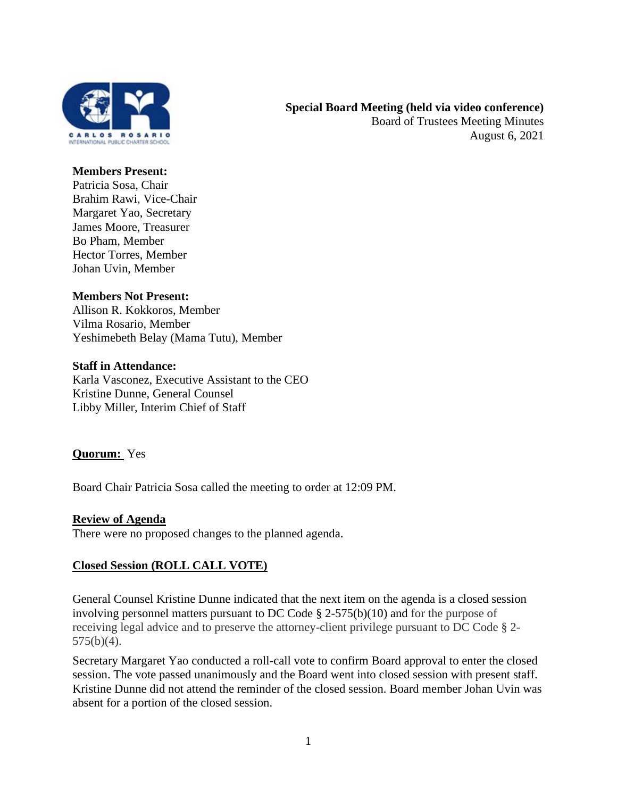

## **Members Present:**

Patricia Sosa, Chair Brahim Rawi, Vice-Chair Margaret Yao, Secretary James Moore, Treasurer Bo Pham, Member Hector Torres, Member Johan Uvin, Member

## **Members Not Present:**

Allison R. Kokkoros, Member Vilma Rosario, Member Yeshimebeth Belay (Mama Tutu), Member

## **Staff in Attendance:**

Karla Vasconez, Executive Assistant to the CEO Kristine Dunne, General Counsel Libby Miller, Interim Chief of Staff

## **Quorum:** Yes

Board Chair Patricia Sosa called the meeting to order at 12:09 PM.

#### **Review of Agenda**

There were no proposed changes to the planned agenda.

## **Closed Session (ROLL CALL VOTE)**

General Counsel Kristine Dunne indicated that the next item on the agenda is a closed session involving personnel matters pursuant to DC Code  $\S$  2-575(b)(10) and for the purpose of receiving legal advice and to preserve the attorney-client privilege pursuant to DC Code § 2-  $575(b)(4)$ .

Secretary Margaret Yao conducted a roll-call vote to confirm Board approval to enter the closed session. The vote passed unanimously and the Board went into closed session with present staff. Kristine Dunne did not attend the reminder of the closed session. Board member Johan Uvin was absent for a portion of the closed session.